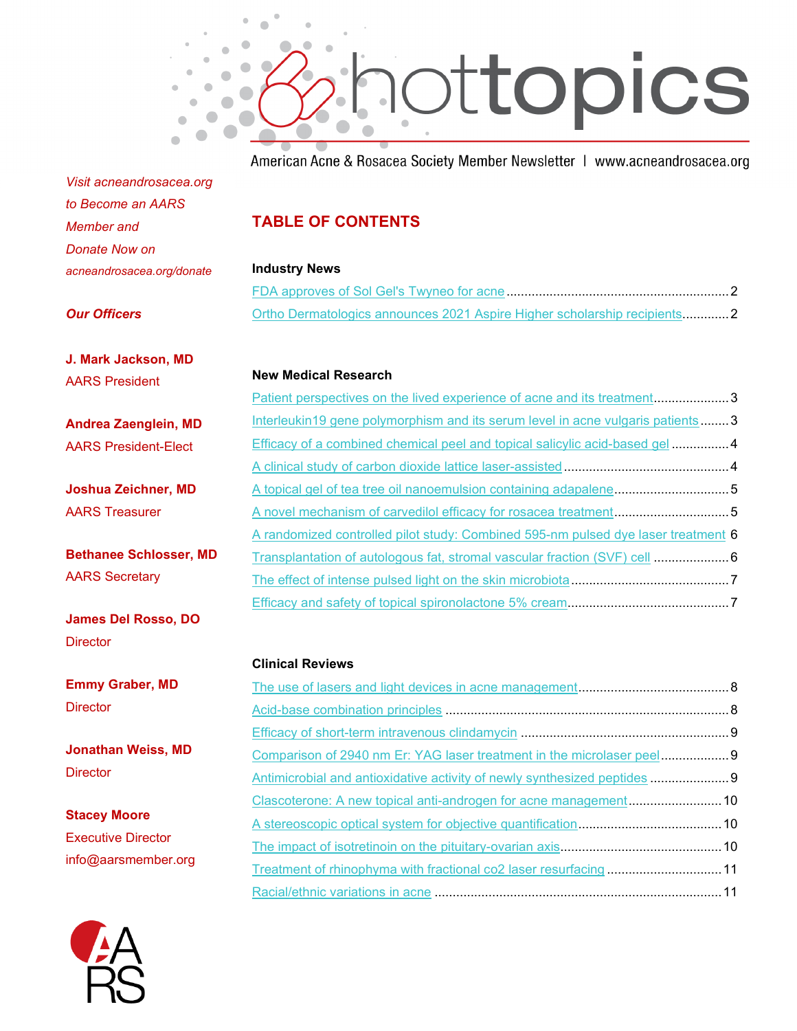

American Acne & Rosacea Society Member Newsletter | www.acneandrosacea.org

*Visit acneandrosacea.org to Become an AARS Member and Donate Now on acneandrosacea.org/donate*

# **TABLE OF CONTENTS**

#### **Industry News**

| Ortho Dermatologics announces 2021 Aspire Higher scholarship recipients2 |  |
|--------------------------------------------------------------------------|--|

#### *Our Officers*

**J. Mark Jackson, MD** AARS President

**Andrea Zaenglein, MD** AARS President-Elect

**Joshua Zeichner, MD** AARS Treasurer

**Bethanee Schlosser, MD** AARS Secretary

**James Del Rosso, DO Director** 

**Emmy Graber, MD Director** 

**Jonathan Weiss, MD Director** 

**Stacey Moore** Executive Director info@aarsmember.org

### **New Medical Research**

| Patient perspectives on the lived experience of acne and its treatment3           |  |
|-----------------------------------------------------------------------------------|--|
| Interleukin19 gene polymorphism and its serum level in acne vulgaris patients3    |  |
| Efficacy of a combined chemical peel and topical salicylic acid-based gel4        |  |
|                                                                                   |  |
| A topical gel of tea tree oil nanoemulsion containing adapalene5                  |  |
| A novel mechanism of carvedilol efficacy for rosacea treatment5                   |  |
| A randomized controlled pilot study: Combined 595-nm pulsed dye laser treatment 6 |  |
| Transplantation of autologous fat, stromal vascular fraction (SVF) cell  6        |  |
|                                                                                   |  |
|                                                                                   |  |

#### **Clinical Reviews**

| Antimicrobial and antioxidative activity of newly synthesized peptides |  |
|------------------------------------------------------------------------|--|
| Clascoterone: A new topical anti-androgen for acne management 10       |  |
|                                                                        |  |
|                                                                        |  |
| Treatment of rhinophyma with fractional co2 laser resurfacing  11      |  |
|                                                                        |  |

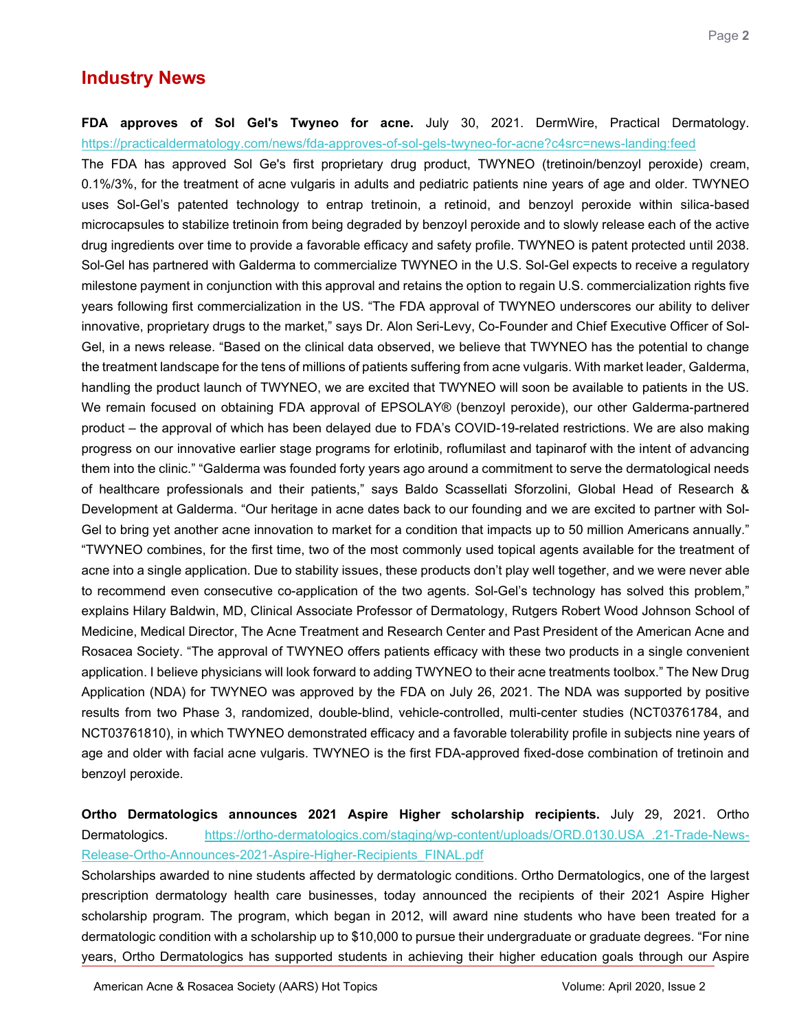# **Industry News**

#### <span id="page-1-0"></span>**FDA approves of Sol Gel's Twyneo for acne.** July 30, 2021. DermWire, Practical Dermatology. <https://practicaldermatology.com/news/fda-approves-of-sol-gels-twyneo-for-acne?c4src=news-landing:feed>

The FDA has approved Sol Ge's first proprietary drug product, TWYNEO (tretinoin/benzoyl peroxide) cream, 0.1%/3%, for the treatment of acne vulgaris in adults and pediatric patients nine years of age and older. TWYNEO uses Sol-Gel's patented technology to entrap tretinoin, a retinoid, and benzoyl peroxide within silica-based microcapsules to stabilize tretinoin from being degraded by benzoyl peroxide and to slowly release each of the active drug ingredients over time to provide a favorable efficacy and safety profile. TWYNEO is patent protected until 2038. Sol-Gel has partnered with Galderma to commercialize TWYNEO in the U.S. Sol-Gel expects to receive a regulatory milestone payment in conjunction with this approval and retains the option to regain U.S. commercialization rights five years following first commercialization in the US. "The FDA approval of TWYNEO underscores our ability to deliver innovative, proprietary drugs to the market," says Dr. Alon Seri-Levy, Co-Founder and Chief Executive Officer of Sol-Gel, in a news release. "Based on the clinical data observed, we believe that TWYNEO has the potential to change the treatment landscape for the tens of millions of patients suffering from acne vulgaris. With market leader, Galderma, handling the product launch of TWYNEO, we are excited that TWYNEO will soon be available to patients in the US. We remain focused on obtaining FDA approval of EPSOLAY® (benzoyl peroxide), our other Galderma-partnered product – the approval of which has been delayed due to FDA's COVID-19-related restrictions. We are also making progress on our innovative earlier stage programs for erlotinib, roflumilast and tapinarof with the intent of advancing them into the clinic." "Galderma was founded forty years ago around a commitment to serve the dermatological needs of healthcare professionals and their patients," says Baldo Scassellati Sforzolini, Global Head of Research & Development at Galderma. "Our heritage in acne dates back to our founding and we are excited to partner with Sol-Gel to bring yet another acne innovation to market for a condition that impacts up to 50 million Americans annually." "TWYNEO combines, for the first time, two of the most commonly used topical agents available for the treatment of acne into a single application. Due to stability issues, these products don't play well together, and we were never able to recommend even consecutive co-application of the two agents. Sol-Gel's technology has solved this problem," explains Hilary Baldwin, MD, Clinical Associate Professor of Dermatology, Rutgers Robert Wood Johnson School of Medicine, Medical Director, The Acne Treatment and Research Center and Past President of the American Acne and Rosacea Society. "The approval of TWYNEO offers patients efficacy with these two products in a single convenient application. I believe physicians will look forward to adding TWYNEO to their acne treatments toolbox." The New Drug Application (NDA) for TWYNEO was approved by the FDA on July 26, 2021. The NDA was supported by positive results from two Phase 3, randomized, double-blind, vehicle-controlled, multi-center studies (NCT03761784, and NCT03761810), in which TWYNEO demonstrated efficacy and a favorable tolerability profile in subjects nine years of age and older with facial acne vulgaris. TWYNEO is the first FDA-approved fixed-dose combination of tretinoin and benzoyl peroxide.

## <span id="page-1-1"></span>**Ortho Dermatologics announces 2021 Aspire Higher scholarship recipients.** July 29, 2021. Ortho Dermatologics. [https://ortho-dermatologics.com/staging/wp-content/uploads/ORD.0130.USA\\_.21-Trade-News-](https://ortho-dermatologics.com/staging/wp-content/uploads/ORD.0130.USA_.21-Trade-News-Release-Ortho-Announces-2021-Aspire-Higher-Recipients_FINAL.pdf)[Release-Ortho-Announces-2021-Aspire-Higher-Recipients\\_FINAL.pdf](https://ortho-dermatologics.com/staging/wp-content/uploads/ORD.0130.USA_.21-Trade-News-Release-Ortho-Announces-2021-Aspire-Higher-Recipients_FINAL.pdf)

Scholarships awarded to nine students affected by dermatologic conditions. Ortho Dermatologics, one of the largest prescription dermatology health care businesses, today announced the recipients of their 2021 Aspire Higher scholarship program. The program, which began in 2012, will award nine students who have been treated for a dermatologic condition with a scholarship up to \$10,000 to pursue their undergraduate or graduate degrees. "For nine years, Ortho Dermatologics has supported students in achieving their higher education goals through our Aspire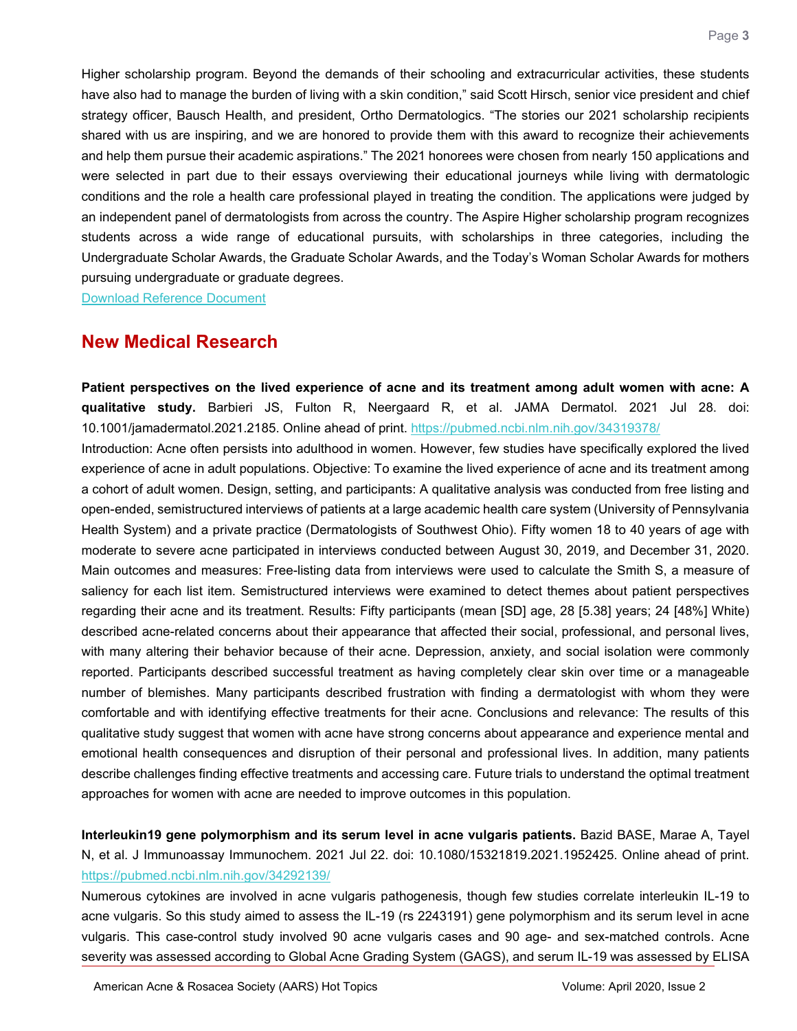Higher scholarship program. Beyond the demands of their schooling and extracurricular activities, these students have also had to manage the burden of living with a skin condition," said Scott Hirsch, senior vice president and chief strategy officer, Bausch Health, and president, Ortho Dermatologics. "The stories our 2021 scholarship recipients shared with us are inspiring, and we are honored to provide them with this award to recognize their achievements and help them pursue their academic aspirations." The 2021 honorees were chosen from nearly 150 applications and were selected in part due to their essays overviewing their educational journeys while living with dermatologic conditions and the role a health care professional played in treating the condition. The applications were judged by an independent panel of dermatologists from across the country. The Aspire Higher scholarship program recognizes students across a wide range of educational pursuits, with scholarships in three categories, including the Undergraduate Scholar Awards, the Graduate Scholar Awards, and the Today's Woman Scholar Awards for mothers pursuing undergraduate or graduate degrees.

[Download Reference Document](https://files.constantcontact.com/c2fa20d1101/8e6b5107-45eb-4ef0-a57a-f99ca119435b.pdf)

### **New Medical Research**

<span id="page-2-0"></span>**Patient perspectives on the lived experience of acne and its treatment among adult women with acne: A qualitative study.** Barbieri JS, Fulton R, Neergaard R, et al. JAMA Dermatol. 2021 Jul 28. doi: 10.1001/jamadermatol.2021.2185. Online ahead of print.<https://pubmed.ncbi.nlm.nih.gov/34319378/>

Introduction: Acne often persists into adulthood in women. However, few studies have specifically explored the lived experience of acne in adult populations. Objective: To examine the lived experience of acne and its treatment among a cohort of adult women. Design, setting, and participants: A qualitative analysis was conducted from free listing and open-ended, semistructured interviews of patients at a large academic health care system (University of Pennsylvania Health System) and a private practice (Dermatologists of Southwest Ohio). Fifty women 18 to 40 years of age with moderate to severe acne participated in interviews conducted between August 30, 2019, and December 31, 2020. Main outcomes and measures: Free-listing data from interviews were used to calculate the Smith S, a measure of saliency for each list item. Semistructured interviews were examined to detect themes about patient perspectives regarding their acne and its treatment. Results: Fifty participants (mean [SD] age, 28 [5.38] years; 24 [48%] White) described acne-related concerns about their appearance that affected their social, professional, and personal lives, with many altering their behavior because of their acne. Depression, anxiety, and social isolation were commonly reported. Participants described successful treatment as having completely clear skin over time or a manageable number of blemishes. Many participants described frustration with finding a dermatologist with whom they were comfortable and with identifying effective treatments for their acne. Conclusions and relevance: The results of this qualitative study suggest that women with acne have strong concerns about appearance and experience mental and emotional health consequences and disruption of their personal and professional lives. In addition, many patients describe challenges finding effective treatments and accessing care. Future trials to understand the optimal treatment approaches for women with acne are needed to improve outcomes in this population.

<span id="page-2-1"></span>**Interleukin19 gene polymorphism and its serum level in acne vulgaris patients.** Bazid BASE, Marae A, Tayel N, et al. J Immunoassay Immunochem. 2021 Jul 22. doi: 10.1080/15321819.2021.1952425. Online ahead of print. <https://pubmed.ncbi.nlm.nih.gov/34292139/>

Numerous cytokines are involved in acne vulgaris pathogenesis, though few studies correlate interleukin IL-19 to acne vulgaris. So this study aimed to assess the IL-19 (rs 2243191) gene polymorphism and its serum level in acne vulgaris. This case-control study involved 90 acne vulgaris cases and 90 age- and sex-matched controls. Acne severity was assessed according to Global Acne Grading System (GAGS), and serum IL-19 was assessed by ELISA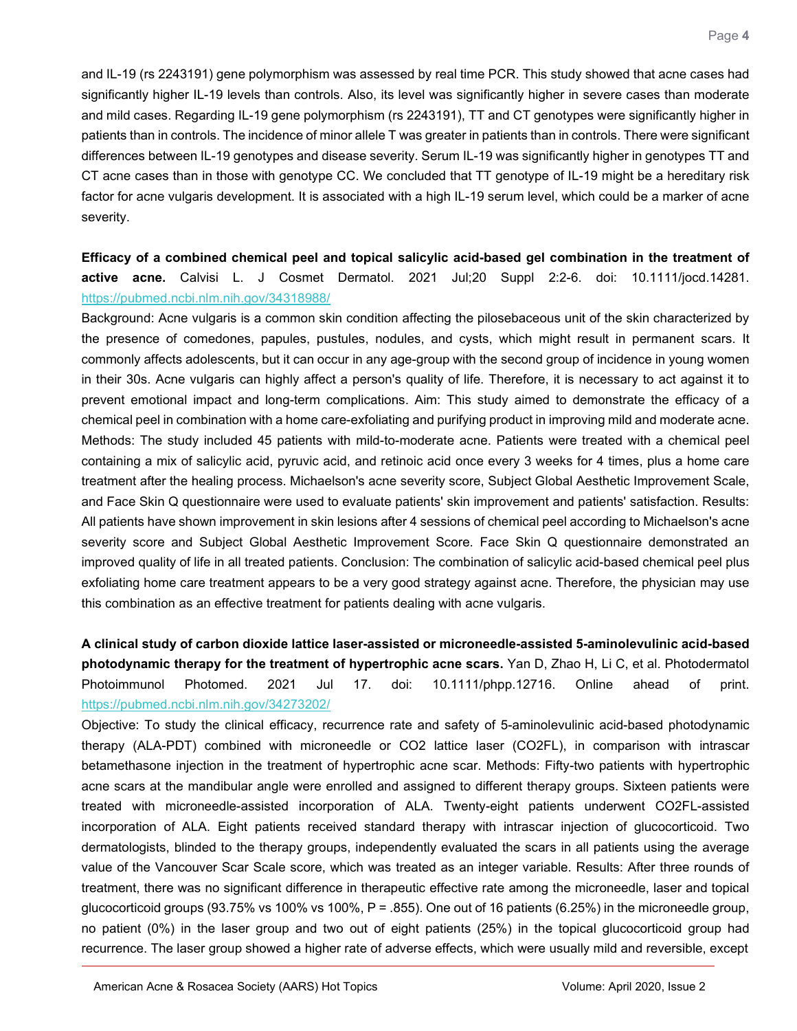and IL-19 (rs 2243191) gene polymorphism was assessed by real time PCR. This study showed that acne cases had significantly higher IL-19 levels than controls. Also, its level was significantly higher in severe cases than moderate and mild cases. Regarding IL-19 gene polymorphism (rs 2243191), TT and CT genotypes were significantly higher in patients than in controls. The incidence of minor allele T was greater in patients than in controls. There were significant differences between IL-19 genotypes and disease severity. Serum IL-19 was significantly higher in genotypes TT and CT acne cases than in those with genotype CC. We concluded that TT genotype of IL-19 might be a hereditary risk factor for acne vulgaris development. It is associated with a high IL-19 serum level, which could be a marker of acne severity.

## <span id="page-3-0"></span>**Efficacy of a combined chemical peel and topical salicylic acid-based gel combination in the treatment of active acne.** Calvisi L. J Cosmet Dermatol. 2021 Jul;20 Suppl 2:2-6. doi: 10.1111/jocd.14281. <https://pubmed.ncbi.nlm.nih.gov/34318988/>

Background: Acne vulgaris is a common skin condition affecting the pilosebaceous unit of the skin characterized by the presence of comedones, papules, pustules, nodules, and cysts, which might result in permanent scars. It commonly affects adolescents, but it can occur in any age-group with the second group of incidence in young women in their 30s. Acne vulgaris can highly affect a person's quality of life. Therefore, it is necessary to act against it to prevent emotional impact and long-term complications. Aim: This study aimed to demonstrate the efficacy of a chemical peel in combination with a home care-exfoliating and purifying product in improving mild and moderate acne. Methods: The study included 45 patients with mild-to-moderate acne. Patients were treated with a chemical peel containing a mix of salicylic acid, pyruvic acid, and retinoic acid once every 3 weeks for 4 times, plus a home care treatment after the healing process. Michaelson's acne severity score, Subject Global Aesthetic Improvement Scale, and Face Skin Q questionnaire were used to evaluate patients' skin improvement and patients' satisfaction. Results: All patients have shown improvement in skin lesions after 4 sessions of chemical peel according to Michaelson's acne severity score and Subject Global Aesthetic Improvement Score. Face Skin Q questionnaire demonstrated an improved quality of life in all treated patients. Conclusion: The combination of salicylic acid-based chemical peel plus exfoliating home care treatment appears to be a very good strategy against acne. Therefore, the physician may use this combination as an effective treatment for patients dealing with acne vulgaris.

# <span id="page-3-1"></span>**A clinical study of carbon dioxide lattice laser-assisted or microneedle-assisted 5-aminolevulinic acid-based photodynamic therapy for the treatment of hypertrophic acne scars.** Yan D, Zhao H, Li C, et al. Photodermatol Photoimmunol Photomed. 2021 Jul 17. doi: 10.1111/phpp.12716. Online ahead of print. <https://pubmed.ncbi.nlm.nih.gov/34273202/>

Objective: To study the clinical efficacy, recurrence rate and safety of 5-aminolevulinic acid-based photodynamic therapy (ALA-PDT) combined with microneedle or CO2 lattice laser (CO2FL), in comparison with intrascar betamethasone injection in the treatment of hypertrophic acne scar. Methods: Fifty-two patients with hypertrophic acne scars at the mandibular angle were enrolled and assigned to different therapy groups. Sixteen patients were treated with microneedle-assisted incorporation of ALA. Twenty-eight patients underwent CO2FL-assisted incorporation of ALA. Eight patients received standard therapy with intrascar injection of glucocorticoid. Two dermatologists, blinded to the therapy groups, independently evaluated the scars in all patients using the average value of the Vancouver Scar Scale score, which was treated as an integer variable. Results: After three rounds of treatment, there was no significant difference in therapeutic effective rate among the microneedle, laser and topical glucocorticoid groups (93.75% vs 100% vs 100%, P = .855). One out of 16 patients (6.25%) in the microneedle group, no patient (0%) in the laser group and two out of eight patients (25%) in the topical glucocorticoid group had recurrence. The laser group showed a higher rate of adverse effects, which were usually mild and reversible, except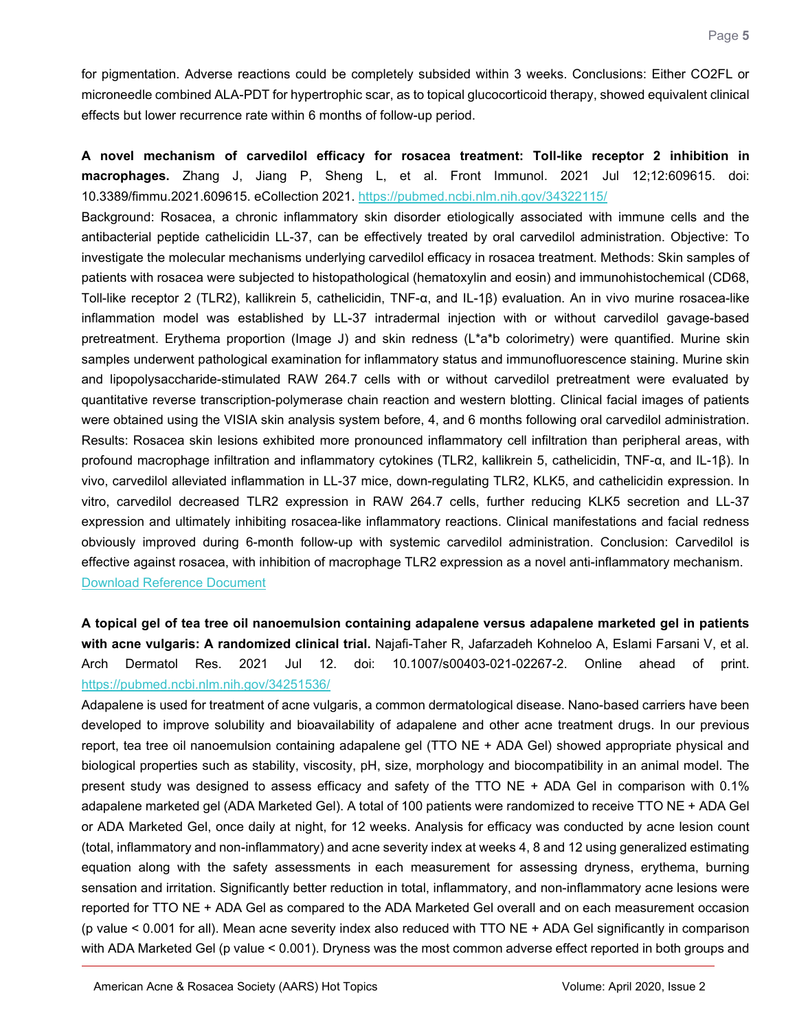for pigmentation. Adverse reactions could be completely subsided within 3 weeks. Conclusions: Either CO2FL or microneedle combined ALA-PDT for hypertrophic scar, as to topical glucocorticoid therapy, showed equivalent clinical effects but lower recurrence rate within 6 months of follow-up period.

<span id="page-4-1"></span>**A novel mechanism of carvedilol efficacy for rosacea treatment: Toll-like receptor 2 inhibition in macrophages.** Zhang J, Jiang P, Sheng L, et al. Front Immunol. 2021 Jul 12;12:609615. doi: 10.3389/fimmu.2021.609615. eCollection 2021.<https://pubmed.ncbi.nlm.nih.gov/34322115/>

Background: Rosacea, a chronic inflammatory skin disorder etiologically associated with immune cells and the antibacterial peptide cathelicidin LL-37, can be effectively treated by oral carvedilol administration. Objective: To investigate the molecular mechanisms underlying carvedilol efficacy in rosacea treatment. Methods: Skin samples of patients with rosacea were subjected to histopathological (hematoxylin and eosin) and immunohistochemical (CD68, Toll-like receptor 2 (TLR2), kallikrein 5, cathelicidin, TNF-α, and IL-1β) evaluation. An in vivo murine rosacea-like inflammation model was established by LL-37 intradermal injection with or without carvedilol gavage-based pretreatment. Erythema proportion (Image J) and skin redness (L\*a\*b colorimetry) were quantified. Murine skin samples underwent pathological examination for inflammatory status and immunofluorescence staining. Murine skin and lipopolysaccharide-stimulated RAW 264.7 cells with or without carvedilol pretreatment were evaluated by quantitative reverse transcription-polymerase chain reaction and western blotting. Clinical facial images of patients were obtained using the VISIA skin analysis system before, 4, and 6 months following oral carvedilol administration. Results: Rosacea skin lesions exhibited more pronounced inflammatory cell infiltration than peripheral areas, with profound macrophage infiltration and inflammatory cytokines (TLR2, kallikrein 5, cathelicidin, TNF-α, and IL-1β). In vivo, carvedilol alleviated inflammation in LL-37 mice, down-regulating TLR2, KLK5, and cathelicidin expression. In vitro, carvedilol decreased TLR2 expression in RAW 264.7 cells, further reducing KLK5 secretion and LL-37 expression and ultimately inhibiting rosacea-like inflammatory reactions. Clinical manifestations and facial redness obviously improved during 6-month follow-up with systemic carvedilol administration. Conclusion: Carvedilol is effective against rosacea, with inhibition of macrophage TLR2 expression as a novel anti-inflammatory mechanism. [Download Reference Document](https://files.constantcontact.com/c2fa20d1101/475523b8-ed4f-4d7e-964a-ce5a9227dc17.pdf)

<span id="page-4-0"></span>**A topical gel of tea tree oil nanoemulsion containing adapalene versus adapalene marketed gel in patients with acne vulgaris: A randomized clinical trial.** Najafi-Taher R, Jafarzadeh Kohneloo A, Eslami Farsani V, et al. Arch Dermatol Res. 2021 Jul 12. doi: 10.1007/s00403-021-02267-2. Online ahead of print. <https://pubmed.ncbi.nlm.nih.gov/34251536/>

Adapalene is used for treatment of acne vulgaris, a common dermatological disease. Nano-based carriers have been developed to improve solubility and bioavailability of adapalene and other acne treatment drugs. In our previous report, tea tree oil nanoemulsion containing adapalene gel (TTO NE + ADA Gel) showed appropriate physical and biological properties such as stability, viscosity, pH, size, morphology and biocompatibility in an animal model. The present study was designed to assess efficacy and safety of the TTO NE + ADA Gel in comparison with 0.1% adapalene marketed gel (ADA Marketed Gel). A total of 100 patients were randomized to receive TTO NE + ADA Gel or ADA Marketed Gel, once daily at night, for 12 weeks. Analysis for efficacy was conducted by acne lesion count (total, inflammatory and non-inflammatory) and acne severity index at weeks 4, 8 and 12 using generalized estimating equation along with the safety assessments in each measurement for assessing dryness, erythema, burning sensation and irritation. Significantly better reduction in total, inflammatory, and non-inflammatory acne lesions were reported for TTO NE + ADA Gel as compared to the ADA Marketed Gel overall and on each measurement occasion (p value < 0.001 for all). Mean acne severity index also reduced with TTO NE + ADA Gel significantly in comparison with ADA Marketed Gel (p value < 0.001). Dryness was the most common adverse effect reported in both groups and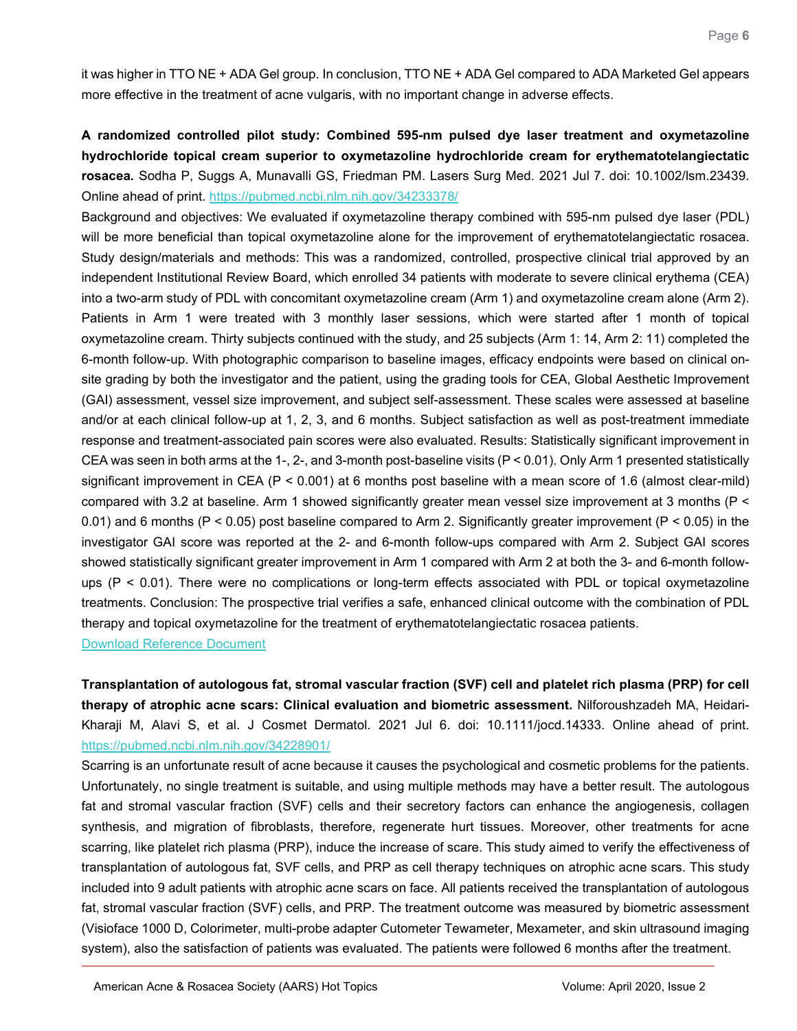it was higher in TTO NE + ADA Gel group. In conclusion, TTO NE + ADA Gel compared to ADA Marketed Gel appears more effective in the treatment of acne vulgaris, with no important change in adverse effects.

<span id="page-5-0"></span>**A randomized controlled pilot study: Combined 595-nm pulsed dye laser treatment and oxymetazoline hydrochloride topical cream superior to oxymetazoline hydrochloride cream for erythematotelangiectatic rosacea.** Sodha P, Suggs A, Munavalli GS, Friedman PM. Lasers Surg Med. 2021 Jul 7. doi: 10.1002/lsm.23439. Online ahead of print.<https://pubmed.ncbi.nlm.nih.gov/34233378/>

Background and objectives: We evaluated if oxymetazoline therapy combined with 595-nm pulsed dye laser (PDL) will be more beneficial than topical oxymetazoline alone for the improvement of erythematotelangiectatic rosacea. Study design/materials and methods: This was a randomized, controlled, prospective clinical trial approved by an independent Institutional Review Board, which enrolled 34 patients with moderate to severe clinical erythema (CEA) into a two-arm study of PDL with concomitant oxymetazoline cream (Arm 1) and oxymetazoline cream alone (Arm 2). Patients in Arm 1 were treated with 3 monthly laser sessions, which were started after 1 month of topical oxymetazoline cream. Thirty subjects continued with the study, and 25 subjects (Arm 1: 14, Arm 2: 11) completed the 6-month follow-up. With photographic comparison to baseline images, efficacy endpoints were based on clinical onsite grading by both the investigator and the patient, using the grading tools for CEA, Global Aesthetic Improvement (GAI) assessment, vessel size improvement, and subject self-assessment. These scales were assessed at baseline and/or at each clinical follow-up at 1, 2, 3, and 6 months. Subject satisfaction as well as post-treatment immediate response and treatment-associated pain scores were also evaluated. Results: Statistically significant improvement in CEA was seen in both arms at the 1-, 2-, and 3-month post-baseline visits (P < 0.01). Only Arm 1 presented statistically significant improvement in CEA (P < 0.001) at 6 months post baseline with a mean score of 1.6 (almost clear-mild) compared with 3.2 at baseline. Arm 1 showed significantly greater mean vessel size improvement at 3 months (P < 0.01) and 6 months (P < 0.05) post baseline compared to Arm 2. Significantly greater improvement (P < 0.05) in the investigator GAI score was reported at the 2- and 6-month follow-ups compared with Arm 2. Subject GAI scores showed statistically significant greater improvement in Arm 1 compared with Arm 2 at both the 3- and 6-month followups (P < 0.01). There were no complications or long-term effects associated with PDL or topical oxymetazoline treatments. Conclusion: The prospective trial verifies a safe, enhanced clinical outcome with the combination of PDL therapy and topical oxymetazoline for the treatment of erythematotelangiectatic rosacea patients. [Download Reference Document](https://files.constantcontact.com/c2fa20d1101/51dc29a4-eede-44f9-8426-e10d88b534b9.pdf)

<span id="page-5-1"></span>**Transplantation of autologous fat, stromal vascular fraction (SVF) cell and platelet rich plasma (PRP) for cell therapy of atrophic acne scars: Clinical evaluation and biometric assessment.** Nilforoushzadeh MA, Heidari-Kharaji M, Alavi S, et al. J Cosmet Dermatol. 2021 Jul 6. doi: 10.1111/jocd.14333. Online ahead of print. <https://pubmed.ncbi.nlm.nih.gov/34228901/>

Scarring is an unfortunate result of acne because it causes the psychological and cosmetic problems for the patients. Unfortunately, no single treatment is suitable, and using multiple methods may have a better result. The autologous fat and stromal vascular fraction (SVF) cells and their secretory factors can enhance the angiogenesis, collagen synthesis, and migration of fibroblasts, therefore, regenerate hurt tissues. Moreover, other treatments for acne scarring, like platelet rich plasma (PRP), induce the increase of scare. This study aimed to verify the effectiveness of transplantation of autologous fat, SVF cells, and PRP as cell therapy techniques on atrophic acne scars. This study included into 9 adult patients with atrophic acne scars on face. All patients received the transplantation of autologous fat, stromal vascular fraction (SVF) cells, and PRP. The treatment outcome was measured by biometric assessment (Visioface 1000 D, Colorimeter, multi-probe adapter Cutometer Tewameter, Mexameter, and skin ultrasound imaging system), also the satisfaction of patients was evaluated. The patients were followed 6 months after the treatment.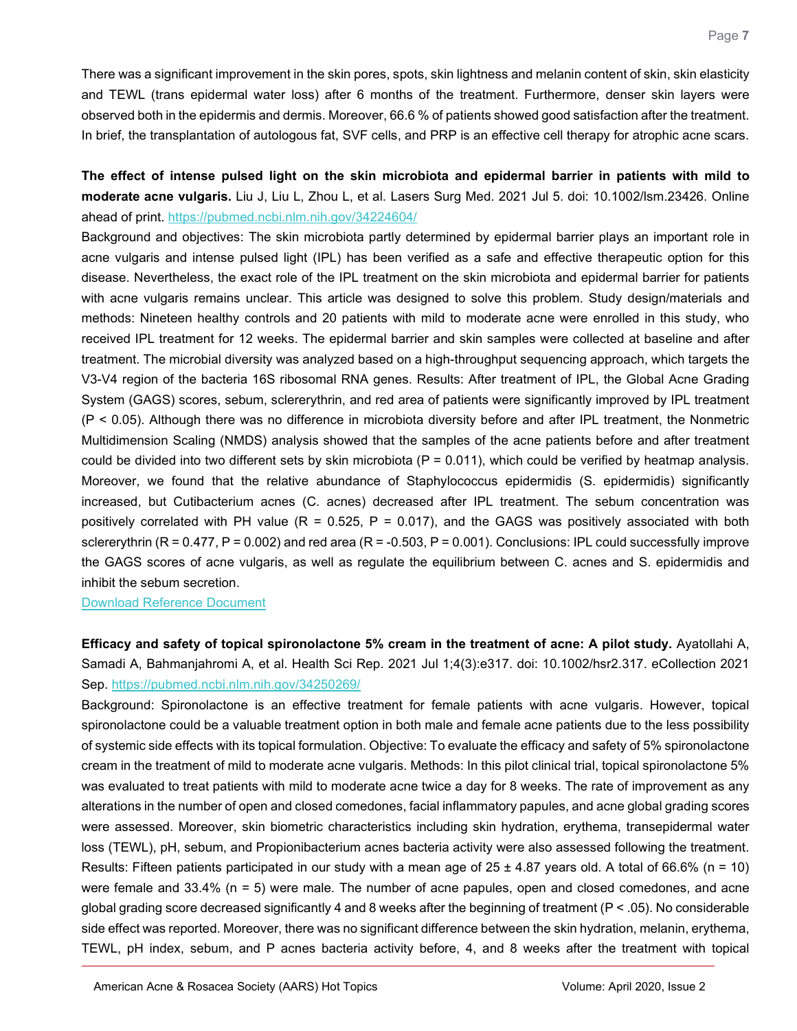There was a significant improvement in the skin pores, spots, skin lightness and melanin content of skin, skin elasticity and TEWL (trans epidermal water loss) after 6 months of the treatment. Furthermore, denser skin layers were observed both in the epidermis and dermis. Moreover, 66.6 % of patients showed good satisfaction after the treatment. In brief, the transplantation of autologous fat, SVF cells, and PRP is an effective cell therapy for atrophic acne scars.

<span id="page-6-0"></span>**The effect of intense pulsed light on the skin microbiota and epidermal barrier in patients with mild to moderate acne vulgaris.** Liu J, Liu L, Zhou L, et al. Lasers Surg Med. 2021 Jul 5. doi: 10.1002/lsm.23426. Online ahead of print.<https://pubmed.ncbi.nlm.nih.gov/34224604/>

Background and objectives: The skin microbiota partly determined by epidermal barrier plays an important role in acne vulgaris and intense pulsed light (IPL) has been verified as a safe and effective therapeutic option for this disease. Nevertheless, the exact role of the IPL treatment on the skin microbiota and epidermal barrier for patients with acne vulgaris remains unclear. This article was designed to solve this problem. Study design/materials and methods: Nineteen healthy controls and 20 patients with mild to moderate acne were enrolled in this study, who received IPL treatment for 12 weeks. The epidermal barrier and skin samples were collected at baseline and after treatment. The microbial diversity was analyzed based on a high-throughput sequencing approach, which targets the V3-V4 region of the bacteria 16S ribosomal RNA genes. Results: After treatment of IPL, the Global Acne Grading System (GAGS) scores, sebum, sclererythrin, and red area of patients were significantly improved by IPL treatment (P < 0.05). Although there was no difference in microbiota diversity before and after IPL treatment, the Nonmetric Multidimension Scaling (NMDS) analysis showed that the samples of the acne patients before and after treatment could be divided into two different sets by skin microbiota ( $P = 0.011$ ), which could be verified by heatmap analysis. Moreover, we found that the relative abundance of Staphylococcus epidermidis (S. epidermidis) significantly increased, but Cutibacterium acnes (C. acnes) decreased after IPL treatment. The sebum concentration was positively correlated with PH value ( $R = 0.525$ ,  $P = 0.017$ ), and the GAGS was positively associated with both sclererythrin  $(R = 0.477, P = 0.002)$  and red area  $(R = -0.503, P = 0.001)$ . Conclusions: IPL could successfully improve the GAGS scores of acne vulgaris, as well as regulate the equilibrium between C. acnes and S. epidermidis and inhibit the sebum secretion.

[Download Reference Document](https://files.constantcontact.com/c2fa20d1101/5951324a-7335-40bd-911a-2647a0cd5707.pdf)

<span id="page-6-1"></span>**Efficacy and safety of topical spironolactone 5% cream in the treatment of acne: A pilot study.** Ayatollahi A, Samadi A, Bahmanjahromi A, et al. Health Sci Rep. 2021 Jul 1;4(3):e317. doi: 10.1002/hsr2.317. eCollection 2021 Sep.<https://pubmed.ncbi.nlm.nih.gov/34250269/>

Background: Spironolactone is an effective treatment for female patients with acne vulgaris. However, topical spironolactone could be a valuable treatment option in both male and female acne patients due to the less possibility of systemic side effects with its topical formulation. Objective: To evaluate the efficacy and safety of 5% spironolactone cream in the treatment of mild to moderate acne vulgaris. Methods: In this pilot clinical trial, topical spironolactone 5% was evaluated to treat patients with mild to moderate acne twice a day for 8 weeks. The rate of improvement as any alterations in the number of open and closed comedones, facial inflammatory papules, and acne global grading scores were assessed. Moreover, skin biometric characteristics including skin hydration, erythema, transepidermal water loss (TEWL), pH, sebum, and Propionibacterium acnes bacteria activity were also assessed following the treatment. Results: Fifteen patients participated in our study with a mean age of  $25 \pm 4.87$  years old. A total of 66.6% (n = 10) were female and 33.4% (n = 5) were male. The number of acne papules, open and closed comedones, and acne global grading score decreased significantly 4 and 8 weeks after the beginning of treatment (P < .05). No considerable side effect was reported. Moreover, there was no significant difference between the skin hydration, melanin, erythema, TEWL, pH index, sebum, and P acnes bacteria activity before, 4, and 8 weeks after the treatment with topical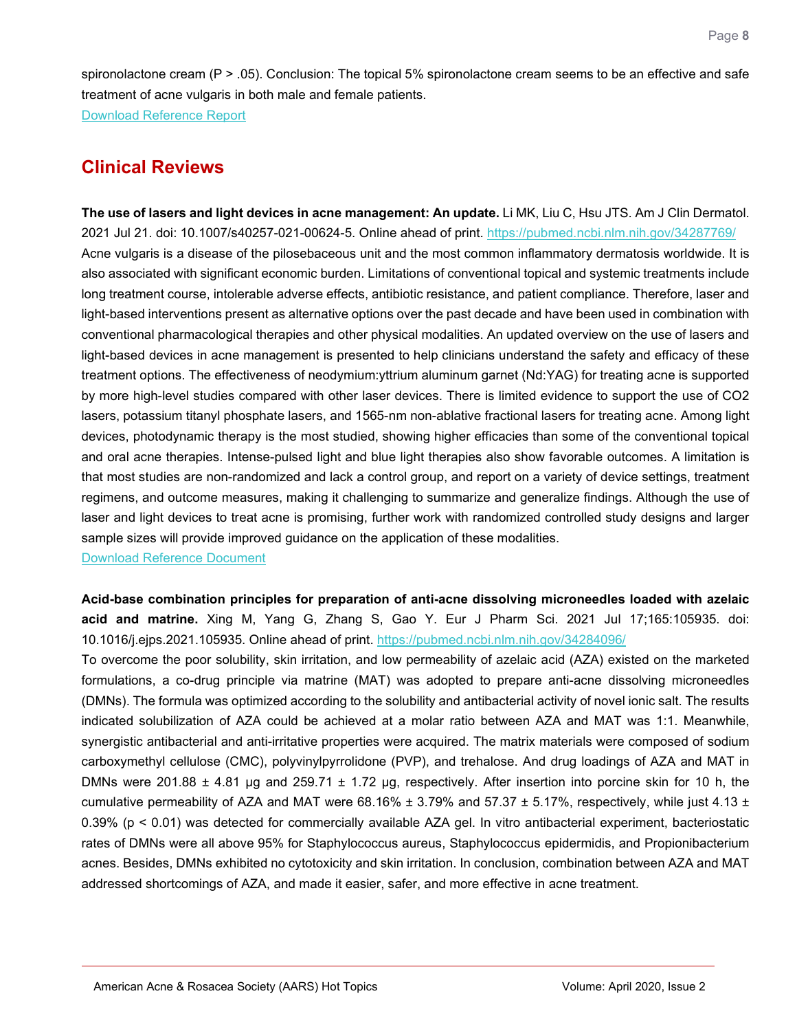spironolactone cream (P > .05). Conclusion: The topical 5% spironolactone cream seems to be an effective and safe treatment of acne vulgaris in both male and female patients.

[Download Reference Report](https://files.constantcontact.com/c2fa20d1101/464846ff-5627-4b27-b29e-d8497f891967.pdf)

# **Clinical Reviews**

<span id="page-7-0"></span>**The use of lasers and light devices in acne management: An update.** Li MK, Liu C, Hsu JTS. Am J Clin Dermatol. 2021 Jul 21. doi: 10.1007/s40257-021-00624-5. Online ahead of print.<https://pubmed.ncbi.nlm.nih.gov/34287769/> Acne vulgaris is a disease of the pilosebaceous unit and the most common inflammatory dermatosis worldwide. It is also associated with significant economic burden. Limitations of conventional topical and systemic treatments include long treatment course, intolerable adverse effects, antibiotic resistance, and patient compliance. Therefore, laser and light-based interventions present as alternative options over the past decade and have been used in combination with conventional pharmacological therapies and other physical modalities. An updated overview on the use of lasers and light-based devices in acne management is presented to help clinicians understand the safety and efficacy of these treatment options. The effectiveness of neodymium:yttrium aluminum garnet (Nd:YAG) for treating acne is supported by more high-level studies compared with other laser devices. There is limited evidence to support the use of CO2 lasers, potassium titanyl phosphate lasers, and 1565-nm non-ablative fractional lasers for treating acne. Among light devices, photodynamic therapy is the most studied, showing higher efficacies than some of the conventional topical and oral acne therapies. Intense-pulsed light and blue light therapies also show favorable outcomes. A limitation is that most studies are non-randomized and lack a control group, and report on a variety of device settings, treatment regimens, and outcome measures, making it challenging to summarize and generalize findings. Although the use of laser and light devices to treat acne is promising, further work with randomized controlled study designs and larger sample sizes will provide improved guidance on the application of these modalities.

[Download Reference Document](https://files.constantcontact.com/c2fa20d1101/a95bfe18-69c0-45a0-b7db-1177a3bc6016.pdf)

<span id="page-7-1"></span>**Acid-base combination principles for preparation of anti-acne dissolving microneedles loaded with azelaic acid and matrine.** Xing M, Yang G, Zhang S, Gao Y. Eur J Pharm Sci. 2021 Jul 17;165:105935. doi: 10.1016/j.ejps.2021.105935. Online ahead of print.<https://pubmed.ncbi.nlm.nih.gov/34284096/>

To overcome the poor solubility, skin irritation, and low permeability of azelaic acid (AZA) existed on the marketed formulations, a co-drug principle via matrine (MAT) was adopted to prepare anti-acne dissolving microneedles (DMNs). The formula was optimized according to the solubility and antibacterial activity of novel ionic salt. The results indicated solubilization of AZA could be achieved at a molar ratio between AZA and MAT was 1:1. Meanwhile, synergistic antibacterial and anti-irritative properties were acquired. The matrix materials were composed of sodium carboxymethyl cellulose (CMC), polyvinylpyrrolidone (PVP), and trehalose. And drug loadings of AZA and MAT in DMNs were 201.88  $\pm$  4.81 µg and 259.71  $\pm$  1.72 µg, respectively. After insertion into porcine skin for 10 h, the cumulative permeability of AZA and MAT were 68.16%  $\pm$  3.79% and 57.37  $\pm$  5.17%, respectively, while just 4.13  $\pm$ 0.39% (p < 0.01) was detected for commercially available AZA gel. In vitro antibacterial experiment, bacteriostatic rates of DMNs were all above 95% for Staphylococcus aureus, Staphylococcus epidermidis, and Propionibacterium acnes. Besides, DMNs exhibited no cytotoxicity and skin irritation. In conclusion, combination between AZA and MAT addressed shortcomings of AZA, and made it easier, safer, and more effective in acne treatment.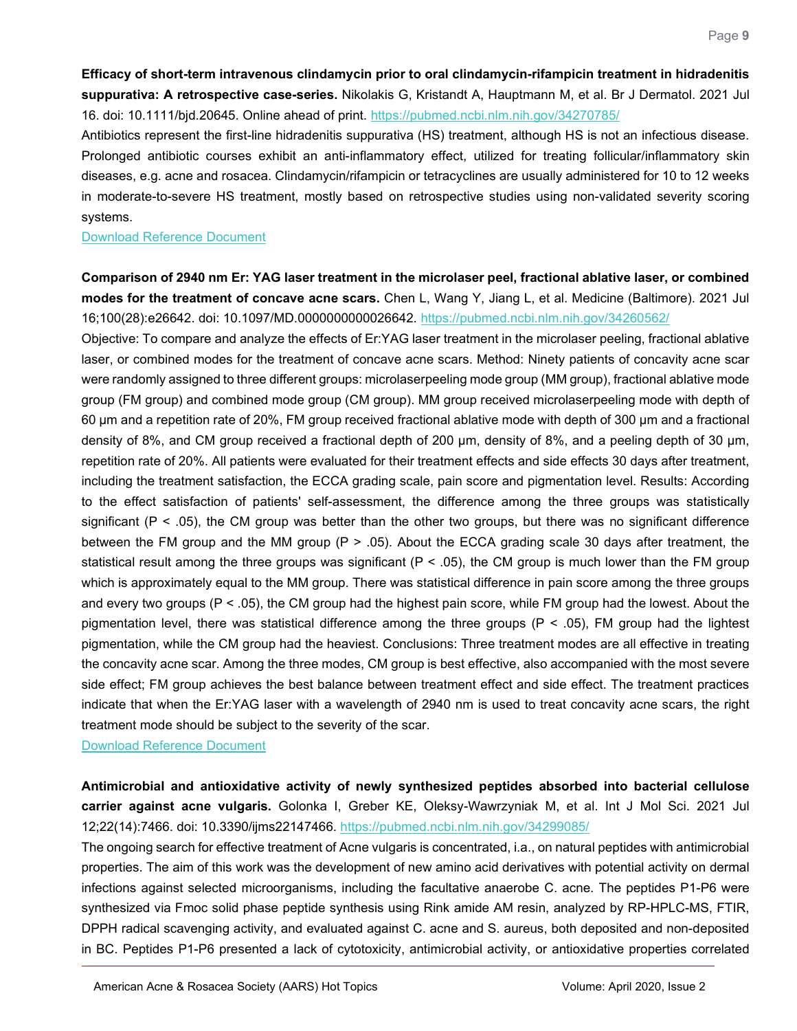<span id="page-8-0"></span>**Efficacy of short-term intravenous clindamycin prior to oral clindamycin-rifampicin treatment in hidradenitis suppurativa: A retrospective case-series.** Nikolakis G, Kristandt A, Hauptmann M, et al. Br J Dermatol. 2021 Jul 16. doi: 10.1111/bjd.20645. Online ahead of print.<https://pubmed.ncbi.nlm.nih.gov/34270785/>

Antibiotics represent the first-line hidradenitis suppurativa (HS) treatment, although HS is not an infectious disease. Prolonged antibiotic courses exhibit an anti-inflammatory effect, utilized for treating follicular/inflammatory skin diseases, e.g. acne and rosacea. Clindamycin/rifampicin or tetracyclines are usually administered for 10 to 12 weeks in moderate-to-severe HS treatment, mostly based on retrospective studies using non-validated severity scoring systems.

[Download Reference Document](https://files.constantcontact.com/c2fa20d1101/2edd62a3-a49b-444d-87e1-3dc75ef5ee1c.pdf)

<span id="page-8-1"></span>**Comparison of 2940 nm Er: YAG laser treatment in the microlaser peel, fractional ablative laser, or combined modes for the treatment of concave acne scars.** Chen L, Wang Y, Jiang L, et al. Medicine (Baltimore). 2021 Jul 16;100(28):e26642. doi: 10.1097/MD.0000000000026642.<https://pubmed.ncbi.nlm.nih.gov/34260562/>

Objective: To compare and analyze the effects of Er:YAG laser treatment in the microlaser peeling, fractional ablative laser, or combined modes for the treatment of concave acne scars. Method: Ninety patients of concavity acne scar were randomly assigned to three different groups: microlaserpeeling mode group (MM group), fractional ablative mode group (FM group) and combined mode group (CM group). MM group received microlaserpeeling mode with depth of 60 μm and a repetition rate of 20%, FM group received fractional ablative mode with depth of 300 μm and a fractional density of 8%, and CM group received a fractional depth of 200 μm, density of 8%, and a peeling depth of 30 μm, repetition rate of 20%. All patients were evaluated for their treatment effects and side effects 30 days after treatment, including the treatment satisfaction, the ECCA grading scale, pain score and pigmentation level. Results: According to the effect satisfaction of patients' self-assessment, the difference among the three groups was statistically significant ( $P < .05$ ), the CM group was better than the other two groups, but there was no significant difference between the FM group and the MM group  $(P > 0.05)$ . About the ECCA grading scale 30 days after treatment, the statistical result among the three groups was significant ( $P < .05$ ), the CM group is much lower than the FM group which is approximately equal to the MM group. There was statistical difference in pain score among the three groups and every two groups  $(P < .05)$ , the CM group had the highest pain score, while FM group had the lowest. About the pigmentation level, there was statistical difference among the three groups ( $P < .05$ ), FM group had the lightest pigmentation, while the CM group had the heaviest. Conclusions: Three treatment modes are all effective in treating the concavity acne scar. Among the three modes, CM group is best effective, also accompanied with the most severe side effect; FM group achieves the best balance between treatment effect and side effect. The treatment practices indicate that when the Er:YAG laser with a wavelength of 2940 nm is used to treat concavity acne scars, the right treatment mode should be subject to the severity of the scar.

[Download Reference Document](https://files.constantcontact.com/c2fa20d1101/07af9ff9-e343-44ea-8bcb-83542d00ea8f.pdf)

<span id="page-8-2"></span>**Antimicrobial and antioxidative activity of newly synthesized peptides absorbed into bacterial cellulose carrier against acne vulgaris.** Golonka I, Greber KE, Oleksy-Wawrzyniak M, et al. Int J Mol Sci. 2021 Jul 12;22(14):7466. doi: 10.3390/ijms22147466.<https://pubmed.ncbi.nlm.nih.gov/34299085/>

The ongoing search for effective treatment of Acne vulgaris is concentrated, i.a., on natural peptides with antimicrobial properties. The aim of this work was the development of new amino acid derivatives with potential activity on dermal infections against selected microorganisms, including the facultative anaerobe C. acne. The peptides P1-P6 were synthesized via Fmoc solid phase peptide synthesis using Rink amide AM resin, analyzed by RP-HPLC-MS, FTIR, DPPH radical scavenging activity, and evaluated against C. acne and S. aureus, both deposited and non-deposited in BC. Peptides P1-P6 presented a lack of cytotoxicity, antimicrobial activity, or antioxidative properties correlated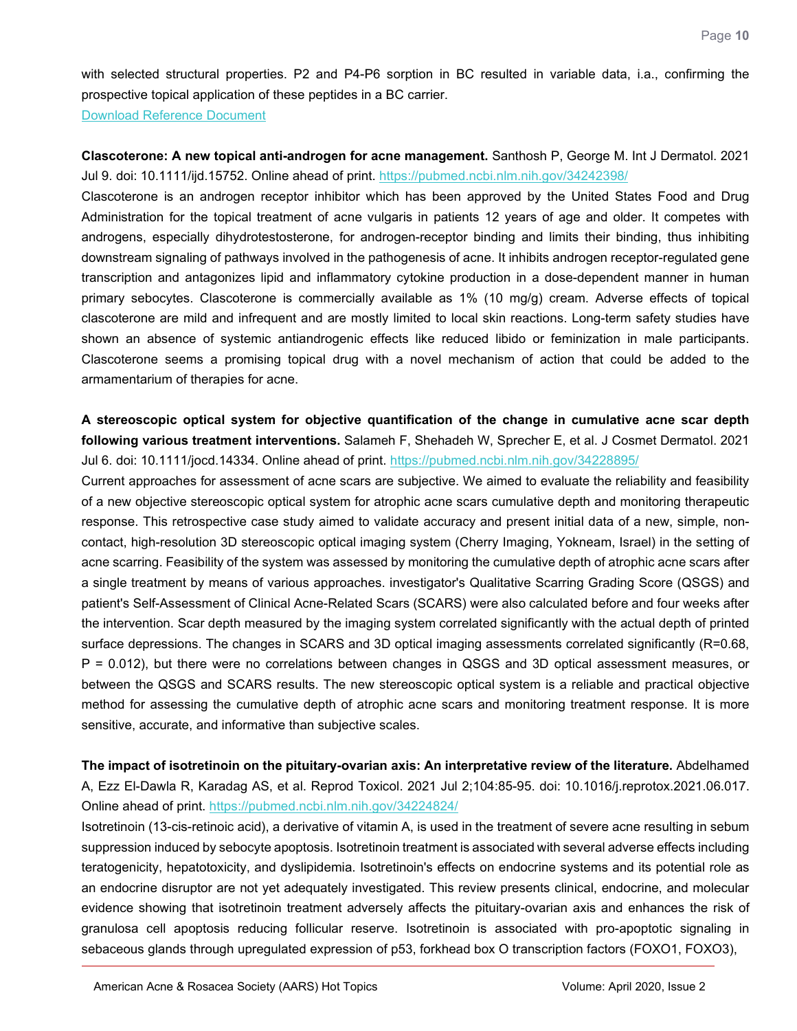with selected structural properties. P2 and P4-P6 sorption in BC resulted in variable data, i.a., confirming the prospective topical application of these peptides in a BC carrier.

[Download Reference Document](https://files.constantcontact.com/c2fa20d1101/501d49ef-2d29-4754-a310-74e6a188188d.pdf)

<span id="page-9-0"></span>**Clascoterone: A new topical anti-androgen for acne management.** Santhosh P, George M. Int J Dermatol. 2021 Jul 9. doi: 10.1111/ijd.15752. Online ahead of print.<https://pubmed.ncbi.nlm.nih.gov/34242398/>

Clascoterone is an androgen receptor inhibitor which has been approved by the United States Food and Drug Administration for the topical treatment of acne vulgaris in patients 12 years of age and older. It competes with androgens, especially dihydrotestosterone, for androgen-receptor binding and limits their binding, thus inhibiting downstream signaling of pathways involved in the pathogenesis of acne. It inhibits androgen receptor-regulated gene transcription and antagonizes lipid and inflammatory cytokine production in a dose-dependent manner in human primary sebocytes. Clascoterone is commercially available as 1% (10 mg/g) cream. Adverse effects of topical clascoterone are mild and infrequent and are mostly limited to local skin reactions. Long-term safety studies have shown an absence of systemic antiandrogenic effects like reduced libido or feminization in male participants. Clascoterone seems a promising topical drug with a novel mechanism of action that could be added to the armamentarium of therapies for acne.

<span id="page-9-1"></span>**A stereoscopic optical system for objective quantification of the change in cumulative acne scar depth following various treatment interventions.** Salameh F, Shehadeh W, Sprecher E, et al. J Cosmet Dermatol. 2021 Jul 6. doi: 10.1111/jocd.14334. Online ahead of print.<https://pubmed.ncbi.nlm.nih.gov/34228895/>

Current approaches for assessment of acne scars are subjective. We aimed to evaluate the reliability and feasibility of a new objective stereoscopic optical system for atrophic acne scars cumulative depth and monitoring therapeutic response. This retrospective case study aimed to validate accuracy and present initial data of a new, simple, noncontact, high-resolution 3D stereoscopic optical imaging system (Cherry Imaging, Yokneam, Israel) in the setting of acne scarring. Feasibility of the system was assessed by monitoring the cumulative depth of atrophic acne scars after a single treatment by means of various approaches. investigator's Qualitative Scarring Grading Score (QSGS) and patient's Self-Assessment of Clinical Acne-Related Scars (SCARS) were also calculated before and four weeks after the intervention. Scar depth measured by the imaging system correlated significantly with the actual depth of printed surface depressions. The changes in SCARS and 3D optical imaging assessments correlated significantly (R=0.68, P = 0.012), but there were no correlations between changes in QSGS and 3D optical assessment measures, or between the QSGS and SCARS results. The new stereoscopic optical system is a reliable and practical objective method for assessing the cumulative depth of atrophic acne scars and monitoring treatment response. It is more sensitive, accurate, and informative than subjective scales.

<span id="page-9-2"></span>**The impact of isotretinoin on the pituitary-ovarian axis: An interpretative review of the literature.** Abdelhamed A, Ezz El-Dawla R, Karadag AS, et al. Reprod Toxicol. 2021 Jul 2;104:85-95. doi: 10.1016/j.reprotox.2021.06.017. Online ahead of print.<https://pubmed.ncbi.nlm.nih.gov/34224824/>

Isotretinoin (13-cis-retinoic acid), a derivative of vitamin A, is used in the treatment of severe acne resulting in sebum suppression induced by sebocyte apoptosis. Isotretinoin treatment is associated with several adverse effects including teratogenicity, hepatotoxicity, and dyslipidemia. Isotretinoin's effects on endocrine systems and its potential role as an endocrine disruptor are not yet adequately investigated. This review presents clinical, endocrine, and molecular evidence showing that isotretinoin treatment adversely affects the pituitary-ovarian axis and enhances the risk of granulosa cell apoptosis reducing follicular reserve. Isotretinoin is associated with pro-apoptotic signaling in sebaceous glands through upregulated expression of p53, forkhead box O transcription factors (FOXO1, FOXO3),